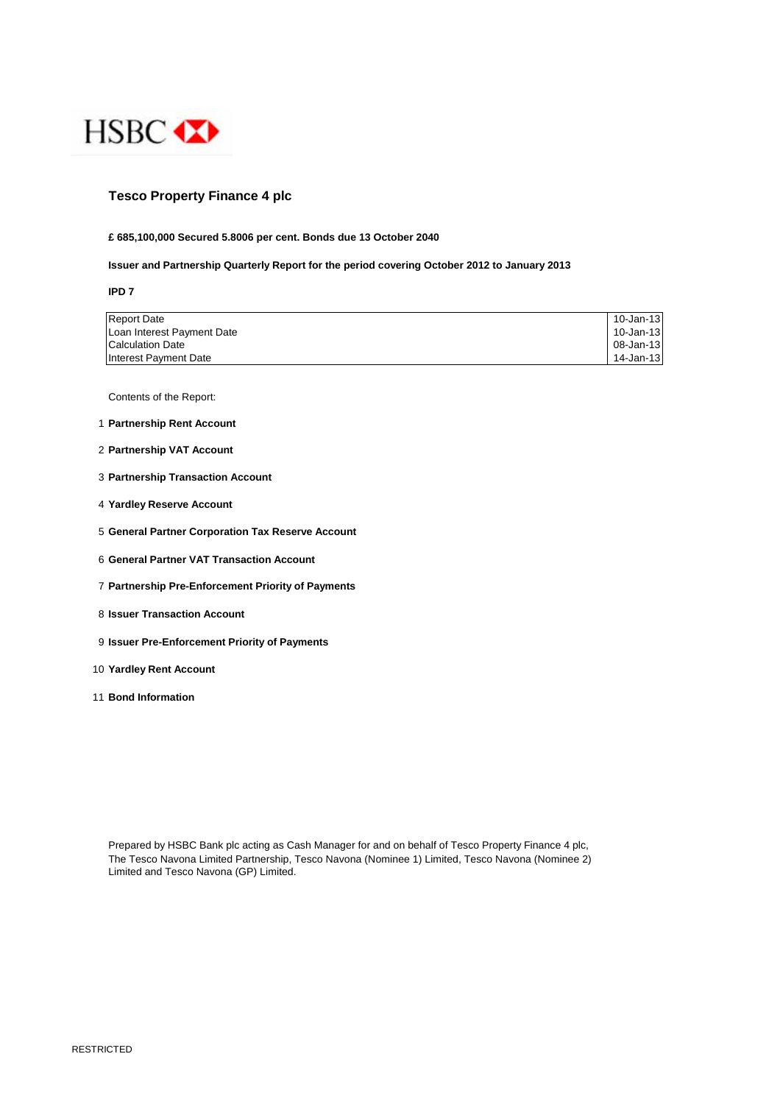

# **Tesco Property Finance 4 plc**

### **£ 685,100,000 Secured 5.8006 per cent. Bonds due 13 October 2040**

## **Issuer and Partnership Quarterly Report for the period covering October 2012 to January 2013**

**IPD 7**

| <b>Report Date</b>         | 10-Jan-13 |
|----------------------------|-----------|
| Loan Interest Payment Date | 10-Jan-13 |
| <b>Calculation Date</b>    | 08-Jan-13 |
| Interest Payment Date      | 14-Jan-13 |

Contents of the Report:

- 1 **Partnership Rent Account**
- 2 **Partnership VAT Account**
- 3 **Partnership Transaction Account**
- 4 **Yardley Reserve Account**
- 5 **General Partner Corporation Tax Reserve Account**
- 6 **General Partner VAT Transaction Account**
- 7 **Partnership Pre-Enforcement Priority of Payments**
- 8 **Issuer Transaction Account**
- 9 **Issuer Pre-Enforcement Priority of Payments**
- 10 **Yardley Rent Account**
- 11 **Bond Information**

Prepared by HSBC Bank plc acting as Cash Manager for and on behalf of Tesco Property Finance 4 plc, The Tesco Navona Limited Partnership, Tesco Navona (Nominee 1) Limited, Tesco Navona (Nominee 2) Limited and Tesco Navona (GP) Limited.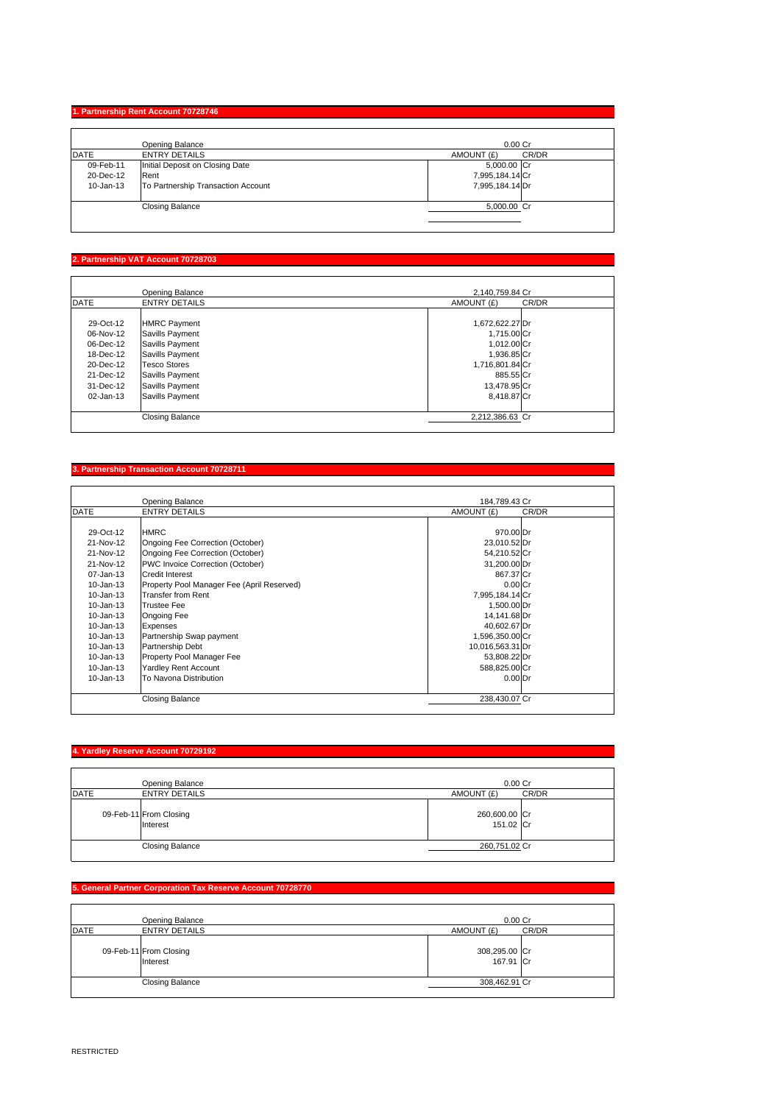# **1. Partnership Rent Account 70728746**

|               | Opening Balance                    | 0.00 <sub>cr</sub>  |
|---------------|------------------------------------|---------------------|
| <b>DATE</b>   | <b>ENTRY DETAILS</b>               | CR/DR<br>AMOUNT (£) |
| 09-Feb-11     | Initial Deposit on Closing Date    | 5,000.00 Cr         |
| 20-Dec-12     | Rent                               | 7,995,184.14 Cr     |
| $10 - Jan-13$ | To Partnership Transaction Account | 7,995,184.14 Dr     |
|               | <b>Closing Balance</b>             | 5,000.00 Cr         |

# **2. Partnership VAT Account 70728703**

|             | Opening Balance        | 2,140,759.84 Cr     |
|-------------|------------------------|---------------------|
| <b>DATE</b> | <b>ENTRY DETAILS</b>   | CR/DR<br>AMOUNT (£) |
|             |                        |                     |
| 29-Oct-12   | <b>HMRC Payment</b>    | 1,672,622.27 Dr     |
| 06-Nov-12   | Savills Payment        | 1.715.00 Cr         |
| 06-Dec-12   | Savills Payment        | 1.012.00 Cr         |
| 18-Dec-12   | Savills Payment        | 1,936.85 Cr         |
| 20-Dec-12   | <b>Tesco Stores</b>    | 1,716,801.84 Cr     |
| 21-Dec-12   | Savills Payment        | 885.55 Cr           |
| 31-Dec-12   | Savills Payment        | 13,478.95 Cr        |
| 02-Jan-13   | Savills Payment        | 8,418.87 Cr         |
|             | <b>Closing Balance</b> | 2,212,386.63 Cr     |

#### **3. Partnership Transaction Account 70728711**

|               | Opening Balance                            | 184.789.43 Cr       |  |
|---------------|--------------------------------------------|---------------------|--|
| <b>DATE</b>   | <b>ENTRY DETAILS</b>                       | AMOUNT (£)<br>CR/DR |  |
|               |                                            |                     |  |
| 29-Oct-12     | <b>HMRC</b>                                | 970.00 Dr           |  |
| 21-Nov-12     | Ongoing Fee Correction (October)           | 23,010.52 Dr        |  |
| 21-Nov-12     | Ongoing Fee Correction (October)           | 54,210.52 Cr        |  |
| 21-Nov-12     | PWC Invoice Correction (October)           | 31,200.00 Dr        |  |
| 07-Jan-13     | Credit Interest                            | 867.37 Cr           |  |
| $10 - Jan-13$ | Property Pool Manager Fee (April Reserved) | $0.00C$ r           |  |
| $10 - Jan-13$ | <b>Transfer from Rent</b>                  | 7,995,184.14 Cr     |  |
| 10-Jan-13     | <b>Trustee Fee</b>                         | 1,500.00 Dr         |  |
| 10-Jan-13     | Ongoing Fee                                | 14.141.68 Dr        |  |
| $10 - Jan-13$ | Expenses                                   | 40,602.67 Dr        |  |
| 10-Jan-13     | Partnership Swap payment                   | 1,596,350.00 Cr     |  |
| 10-Jan-13     | Partnership Debt                           | 10,016,563.31 Dr    |  |
| 10-Jan-13     | Property Pool Manager Fee                  | 53,808.22 Dr        |  |
| 10-Jan-13     | <b>Yardley Rent Account</b>                | 588,825.00 Cr       |  |
| 10-Jan-13     | To Navona Distribution                     | 0.00 <sub>Dr</sub>  |  |
|               |                                            |                     |  |
|               | <b>Closing Balance</b>                     | 238,430.07 Cr       |  |

#### **4. Yardley Reserve Account 70729192**

|             | Opening Balance                    | 0.00Cr                     |
|-------------|------------------------------------|----------------------------|
| <b>DATE</b> | <b>ENTRY DETAILS</b>               | CR/DR<br>AMOUNT (£)        |
|             | 09-Feb-11 From Closing<br>Interest | 260,600.00 Cr<br>151.02 Cr |
|             | <b>Closing Balance</b>             | 260,751.02 Cr              |

# **5. General Partner Corporation Tax Reserve Account 70728770**

| Opening Balance                    | 0.00 <sub>cr</sub>         |  |
|------------------------------------|----------------------------|--|
| DATE<br><b>ENTRY DETAILS</b>       | CR/DR<br>AMOUNT (£)        |  |
| 09-Feb-11 From Closing<br>Interest | 308,295.00 Cr<br>167.91 Cr |  |
| <b>Closing Balance</b>             | 308,462.91 Cr              |  |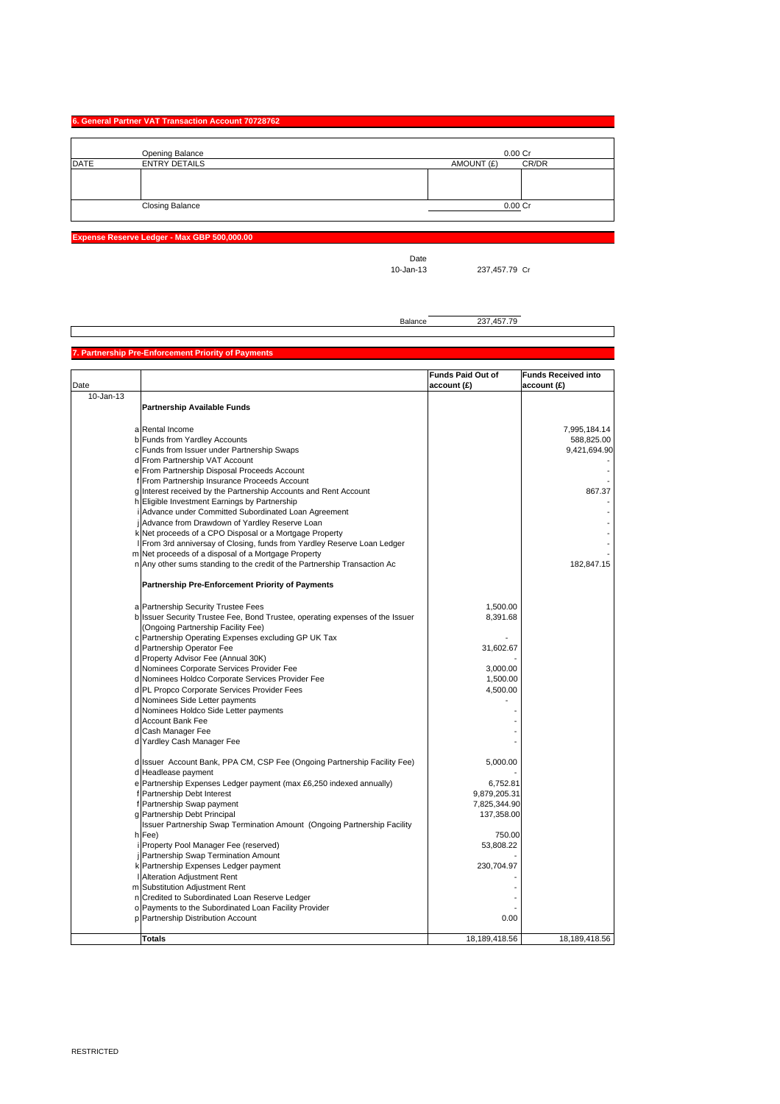## **6. General Partner VAT Transaction Account 70728762**

|             | <b>Opening Balance</b> | $0.00C$ r           |
|-------------|------------------------|---------------------|
| <b>DATE</b> | <b>ENTRY DETAILS</b>   | CR/DR<br>AMOUNT (£) |
|             |                        |                     |
|             |                        |                     |
|             |                        |                     |
|             | <b>Closing Balance</b> | 0.00 Cr             |
|             |                        |                     |

**Expense Reserve Ledger - Max GBP 500,000.00**

Date<br>10-Jan-13

237,457.79 Cr

Balance 237,457.79

#### **Partnership Pre-Enforcement Priority of Pa**

|               |                                                                               | <b>Funds Paid Out of</b> | <b>Funds Received into</b> |
|---------------|-------------------------------------------------------------------------------|--------------------------|----------------------------|
| Date          |                                                                               | account (£)              | account (£)                |
| $10 - Jan-13$ |                                                                               |                          |                            |
|               | <b>Partnership Available Funds</b>                                            |                          |                            |
|               |                                                                               |                          |                            |
|               | a Rental Income                                                               |                          | 7,995,184.14               |
|               | b Funds from Yardley Accounts                                                 |                          | 588,825.00                 |
|               | c Funds from Issuer under Partnership Swaps                                   |                          | 9,421,694.90               |
|               | d From Partnership VAT Account                                                |                          |                            |
|               | e From Partnership Disposal Proceeds Account                                  |                          |                            |
|               | f From Partnership Insurance Proceeds Account                                 |                          |                            |
|               | g Interest received by the Partnership Accounts and Rent Account              |                          | 867.37                     |
|               | h Eligible Investment Earnings by Partnership                                 |                          |                            |
|               | i Advance under Committed Subordinated Loan Agreement                         |                          |                            |
|               | Advance from Drawdown of Yardley Reserve Loan                                 |                          |                            |
|               | k Net proceeds of a CPO Disposal or a Mortgage Property                       |                          |                            |
|               | From 3rd anniversay of Closing, funds from Yardley Reserve Loan Ledger        |                          |                            |
|               | m Net proceeds of a disposal of a Mortgage Property                           |                          |                            |
|               | n Any other sums standing to the credit of the Partnership Transaction Ac     |                          | 182,847.15                 |
|               | Partnership Pre-Enforcement Priority of Payments                              |                          |                            |
|               | a Partnership Security Trustee Fees                                           | 1,500.00                 |                            |
|               | b Issuer Security Trustee Fee, Bond Trustee, operating expenses of the Issuer | 8,391.68                 |                            |
|               | (Ongoing Partnership Facility Fee)                                            |                          |                            |
|               | c Partnership Operating Expenses excluding GP UK Tax                          |                          |                            |
|               | d Partnership Operator Fee                                                    | 31,602.67                |                            |
|               | d Property Advisor Fee (Annual 30K)                                           |                          |                            |
|               | d Nominees Corporate Services Provider Fee                                    | 3,000.00                 |                            |
|               | d Nominees Holdco Corporate Services Provider Fee                             | 1,500.00                 |                            |
|               | d PL Propco Corporate Services Provider Fees                                  | 4,500.00                 |                            |
|               | d Nominees Side Letter payments                                               |                          |                            |
|               | d Nominees Holdco Side Letter payments                                        |                          |                            |
|               | d Account Bank Fee                                                            |                          |                            |
|               | d Cash Manager Fee                                                            |                          |                            |
|               | d Yardley Cash Manager Fee                                                    |                          |                            |
|               |                                                                               |                          |                            |
|               | d Issuer Account Bank, PPA CM, CSP Fee (Ongoing Partnership Facility Fee)     | 5,000.00                 |                            |
|               | d Headlease payment                                                           |                          |                            |
|               | e Partnership Expenses Ledger payment (max £6,250 indexed annually)           | 6,752.81                 |                            |
|               | f Partnership Debt Interest                                                   | 9,879,205.31             |                            |
| f             | Partnership Swap payment                                                      | 7,825,344.90             |                            |
|               | g Partnership Debt Principal                                                  | 137,358.00               |                            |
|               | Issuer Partnership Swap Termination Amount (Ongoing Partnership Facility      |                          |                            |
|               | h Fee)                                                                        | 750.00                   |                            |
|               | Property Pool Manager Fee (reserved)                                          | 53,808.22                |                            |
|               | Partnership Swap Termination Amount                                           |                          |                            |
|               | k Partnership Expenses Ledger payment                                         | 230,704.97               |                            |
|               | Alteration Adjustment Rent                                                    |                          |                            |
|               | m Substitution Adjustment Rent                                                |                          |                            |
|               | n Credited to Subordinated Loan Reserve Ledger                                |                          |                            |
|               | o Payments to the Subordinated Loan Facility Provider                         |                          |                            |
|               | p Partnership Distribution Account                                            | 0.00                     |                            |
|               | <b>Totals</b>                                                                 | 18,189,418.56            | 18,189,418.56              |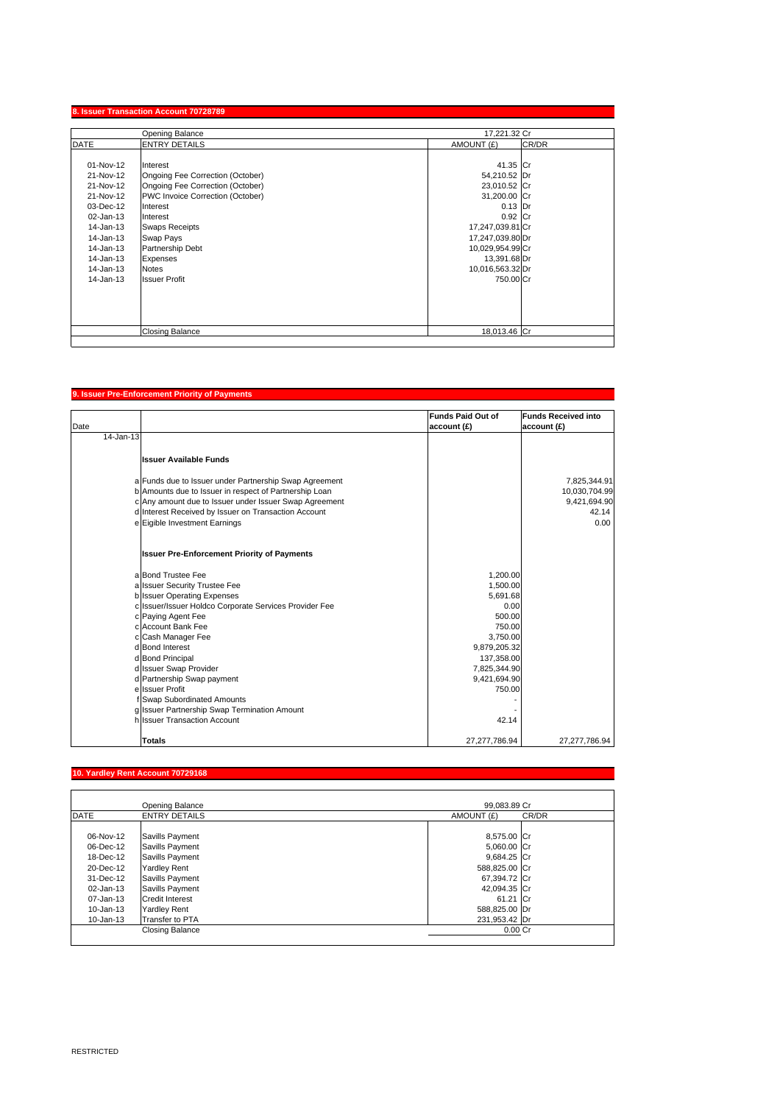| Opening Balance |                                  | 17,221.32 Cr     |       |
|-----------------|----------------------------------|------------------|-------|
| <b>DATE</b>     | <b>ENTRY DETAILS</b>             | AMOUNT (£)       | CR/DR |
|                 |                                  |                  |       |
| 01-Nov-12       | Interest                         | 41.35 Cr         |       |
| 21-Nov-12       | Ongoing Fee Correction (October) | 54,210.52 Dr     |       |
| 21-Nov-12       | Ongoing Fee Correction (October) | 23,010.52 Cr     |       |
| 21-Nov-12       | PWC Invoice Correction (October) | 31,200.00 Cr     |       |
| 03-Dec-12       | Interest                         | $0.13$ Dr        |       |
| 02-Jan-13       | Interest                         | 0.92 Cr          |       |
| 14-Jan-13       | <b>Swaps Receipts</b>            | 17,247,039.81 Cr |       |
| 14-Jan-13       | Swap Pays                        | 17,247,039.80 Dr |       |
| 14-Jan-13       | Partnership Debt                 | 10,029,954.99 Cr |       |
| 14-Jan-13       | Expenses                         | 13,391.68 Dr     |       |
| 14-Jan-13       | <b>Notes</b>                     | 10,016,563.32 Dr |       |
| 14-Jan-13       | <b>Issuer Profit</b>             | 750,00 Cr        |       |
|                 |                                  |                  |       |
|                 |                                  |                  |       |
|                 |                                  |                  |       |
|                 |                                  |                  |       |
|                 | <b>Closing Balance</b>           | 18,013.46 Cr     |       |

## **9. Issuer Pre-Enforcement Priority of Payments**

|           |                                                        | <b>Funds Paid Out of</b> | <b>Funds Received into</b> |
|-----------|--------------------------------------------------------|--------------------------|----------------------------|
| Date      |                                                        | account (£)              | account (£)                |
| 14-Jan-13 |                                                        |                          |                            |
|           |                                                        |                          |                            |
|           | <b>Issuer Available Funds</b>                          |                          |                            |
|           |                                                        |                          |                            |
|           | a Funds due to Issuer under Partnership Swap Agreement |                          | 7,825,344.91               |
|           | b Amounts due to Issuer in respect of Partnership Loan |                          | 10,030,704.99              |
|           | c Any amount due to Issuer under Issuer Swap Agreement |                          | 9,421,694.90               |
|           | d Interest Received by Issuer on Transaction Account   |                          | 42.14                      |
|           | e Eigible Investment Earnings                          |                          | 0.00                       |
|           | <b>Issuer Pre-Enforcement Priority of Payments</b>     |                          |                            |
|           | a Bond Trustee Fee                                     | 1,200.00                 |                            |
|           | a Issuer Security Trustee Fee                          | 1,500.00                 |                            |
|           | b Issuer Operating Expenses                            | 5.691.68                 |                            |
|           | c Issuer/Issuer Holdco Corporate Services Provider Fee | 0.00                     |                            |
|           | c Paying Agent Fee                                     | 500.00                   |                            |
|           | c Account Bank Fee                                     | 750.00                   |                            |
|           | c Cash Manager Fee                                     | 3.750.00                 |                            |
|           | d Bond Interest                                        | 9,879,205.32             |                            |
|           | d Bond Principal                                       | 137,358.00               |                            |
|           | d Issuer Swap Provider                                 | 7,825,344.90             |                            |
|           | d Partnership Swap payment                             | 9,421,694.90             |                            |
|           | e Issuer Profit                                        | 750.00                   |                            |
|           | f Swap Subordinated Amounts                            |                          |                            |
|           | g Issuer Partnership Swap Termination Amount           |                          |                            |
|           | h Issuer Transaction Account                           | 42.14                    |                            |
|           | <b>Totals</b>                                          | 27,277,786.94            | 27,277,786.94              |

# **10. Yardley Rent Account 70729168**

|             | Opening Balance        | 99.083.89 Cr  |       |
|-------------|------------------------|---------------|-------|
| <b>DATE</b> | <b>ENTRY DETAILS</b>   | AMOUNT (£)    | CR/DR |
| 06-Nov-12   | Savills Payment        | 8,575.00 Cr   |       |
| 06-Dec-12   | Savills Payment        | 5,060.00 Cr   |       |
| 18-Dec-12   | Savills Payment        | 9,684.25 Cr   |       |
| 20-Dec-12   | <b>Yardley Rent</b>    | 588,825.00 Cr |       |
| 31-Dec-12   | Savills Payment        | 67,394.72 Cr  |       |
| 02-Jan-13   | Savills Payment        | 42,094.35 Cr  |       |
| 07-Jan-13   | <b>Credit Interest</b> | 61.21 Cr      |       |
| 10-Jan-13   | <b>Yardley Rent</b>    | 588,825.00 Dr |       |
| 10-Jan-13   | Transfer to PTA        | 231,953.42 Dr |       |
|             | <b>Closing Balance</b> | $0.00C$ r     |       |